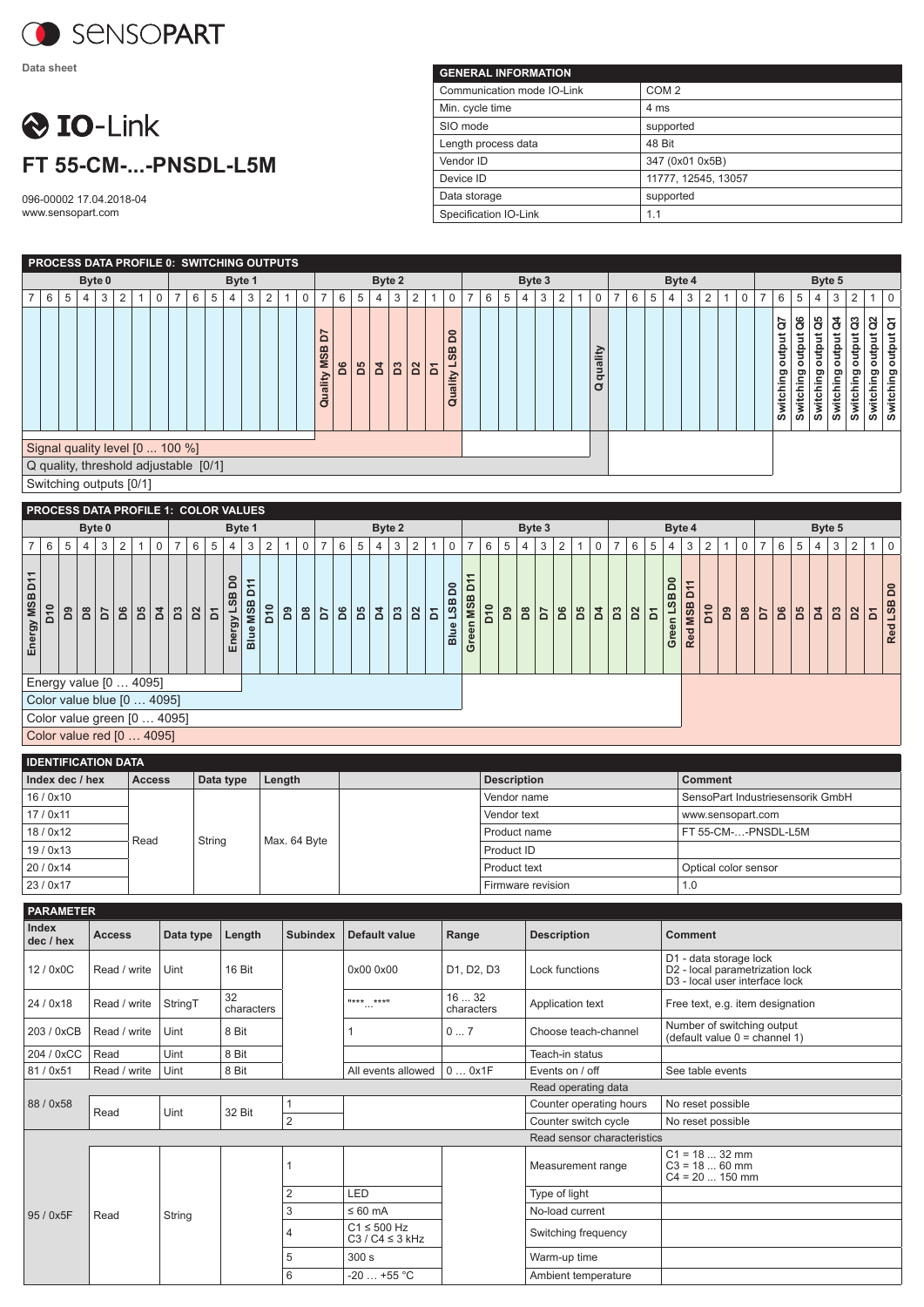

**Data sheet**

## **O** IO-Link **FT 55-CM-...-PNSDL-L5M**

096-00002 17.04.2018-04 www.sensopart.com

| <b>GENERAL INFORMATION</b> |                     |
|----------------------------|---------------------|
| Communication mode IO-Link | COM <sub>2</sub>    |
| Min. cycle time            | 4 ms                |
| SIO mode                   | supported           |
| Length process data        | 48 Bit              |
| Vendor ID                  | 347 (0x01 0x5B)     |
| Device ID                  | 11777, 12545, 13057 |
| Data storage               | supported           |
| Specification IO-Link      | 1.1                 |

| <b>PROCESS DATA PROFILE 0: SWITCHING OUTPUTS</b>                                                    |   |        |   |                |  |   |                |   |   |        |   |                |   |                                                       |    |    |                |               |    |                |                                           |                |   |   |        |       |   |   |              |                |   |   |   |        |                |   |                          |                        |                |                          |                          |                                    |                        |
|-----------------------------------------------------------------------------------------------------|---|--------|---|----------------|--|---|----------------|---|---|--------|---|----------------|---|-------------------------------------------------------|----|----|----------------|---------------|----|----------------|-------------------------------------------|----------------|---|---|--------|-------|---|---|--------------|----------------|---|---|---|--------|----------------|---|--------------------------|------------------------|----------------|--------------------------|--------------------------|------------------------------------|------------------------|
|                                                                                                     |   | Byte 0 |   |                |  |   |                |   |   | Byte 1 |   |                |   |                                                       |    |    | Byte 2         |               |    |                |                                           |                |   |   | Byte 3 |       |   |   |              |                |   |   |   | Byte 4 |                |   |                          |                        |                | Byte 5                   |                          |                                    |                        |
| $\overline{7}$<br>6                                                                                 | 5 | 4      | 3 | $\overline{2}$ |  | 0 | $\overline{7}$ | 6 | 5 | 4      | 3 | $\overline{2}$ | 0 | $\overline{7}$                                        | 6  | 5  | 4              | 3             | 2  |                | $\mathbf 0$                               | $\overline{7}$ | 6 | 5 | 4      | 3     | 2 | 1 | $\mathbf 0$  | $\overline{7}$ | 6 | 5 | 4 | 3      | $\overline{2}$ | 0 | 6                        | 5                      | 4              | 3                        | 2                        |                                    | $\mathbf 0$            |
|                                                                                                     |   |        |   |                |  |   |                |   |   |        |   |                |   | r<br>$\Omega$<br><b>SB</b><br>Σ<br>ality<br>$\vec{a}$ | D6 | B5 | $\overline{a}$ | $\mathbf{D}3$ | D2 | $\overline{a}$ | <b>SQ</b><br><b>SB</b><br>┙<br>ality<br>ā |                |   |   |        |       |   |   | quality<br>Ø |                |   |   |   |        |                |   | ā<br>output<br>Switching | output Q6<br>Switching | å<br>Switching | đ<br>output<br>Switching | ő<br>output<br>Switching | g<br>output<br>output<br>Switching | output Q1<br>Switching |
| Signal quality level [0  100 %]<br>Q quality, threshold adjustable [0/1]<br>Switching outputs [0/1] |   |        |   |                |  |   |                |   |   |        |   |                |   |                                                       |    |    |                |               |    |                |                                           |                |   |   |        |       |   |   |              |                |   |   |   |        |                |   |                          |                        |                |                          |                          |                                    |                        |
| <b>PROCESS DATA PROFILE 1: COLOR VALUES</b>                                                         |   |        |   |                |  |   |                |   |   |        |   |                |   |                                                       |    |    |                |               |    |                |                                           |                |   |   |        |       |   |   |              |                |   |   |   |        |                |   |                          |                        |                |                          |                          |                                    |                        |
|                                                                                                     |   | _ _ _  |   |                |  |   |                |   |   |        |   |                |   |                                                       |    |    | - - -          |               |    |                |                                           |                |   |   |        | _ _ _ |   |   |              |                |   |   |   | _ _    |                |   |                          |                        |                | _ _ _                    |                          |                                    |                        |

|                |                             |        |                | Byte 0       |   |              |             |                |            |    |                  | Byte 1                       |            |              |             |                |    |    | Byte 2 |              |                |              |                         |                         |                 |    | Byte 3 |    |                |    |    |                |                |   | Byte 4                                  |                             |                 |    |    |                |    |    | Byte 5 |                |              |   |                               |
|----------------|-----------------------------|--------|----------------|--------------|---|--------------|-------------|----------------|------------|----|------------------|------------------------------|------------|--------------|-------------|----------------|----|----|--------|--------------|----------------|--------------|-------------------------|-------------------------|-----------------|----|--------|----|----------------|----|----|----------------|----------------|---|-----------------------------------------|-----------------------------|-----------------|----|----|----------------|----|----|--------|----------------|--------------|---|-------------------------------|
|                | 6                           | 5      | 4              | $\mathbf{3}$ | 2 | $\mathbf{1}$ | $\mathbf 0$ | $\overline{7}$ | 6          | 5  | 4                | 3                            | 2          | $\mathbf{1}$ | $\mathbf 0$ | $\overline{7}$ | 6  | 5  | 4      | 3            | 2              | $\mathbf{1}$ | 0                       | $\overline{7}$          | 6               | 5  | 4      | 3  | $\overline{2}$ |    | 0  | $\overline{7}$ | 6              | 5 | 4                                       | 3                           | $\overline{2}$  |    | 0  | $\overline{7}$ | 6  | 5  | 4      | 3              | 2            |   | $\mathbf 0$                   |
| Energy MSB D11 | $\overline{5}$              | $\sim$ | B <sub>8</sub> | 5d           | S |              | B Z         | ដ              | <u>  ဥ</u> | ۱Σ | DO<br>Energy LSB | 두<br>$\Omega$<br>MSB<br>Blue | <b>Drd</b> | 2            | ă           | b7             | D6 | Ъ5 | ă      | $\mathbf{S}$ | b <sub>2</sub> | Σ            | 8<br>LSB<br><b>Blue</b> | ᠇<br>δ<br>n MSB<br>Gree | D <sub>10</sub> | Bq | ã      | 5d | D6             | BS | Þđ | $\mathbf{S}$   | b <sub>2</sub> | Σ | S<br>$\mathbf m$<br>Green <sub>LS</sub> | F<br>≏<br><b>MSB</b><br>Red | D <sub>10</sub> | සි | D8 | <b>Fd</b>      | D6 | BS | Þđ     | B <sub>3</sub> | $\mathbf{p}$ | Σ | δ<br><b>SSL</b><br><b>Red</b> |
|                | Energy value [0  4095]      |        |                |              |   |              |             |                |            |    |                  |                              |            |              |             |                |    |    |        |              |                |              |                         |                         |                 |    |        |    |                |    |    |                |                |   |                                         |                             |                 |    |    |                |    |    |        |                |              |   |                               |
|                | Color value blue [0  4095]  |        |                |              |   |              |             |                |            |    |                  |                              |            |              |             |                |    |    |        |              |                |              |                         |                         |                 |    |        |    |                |    |    |                |                |   |                                         |                             |                 |    |    |                |    |    |        |                |              |   |                               |
|                | Color value green [0  4095] |        |                |              |   |              |             |                |            |    |                  |                              |            |              |             |                |    |    |        |              |                |              |                         |                         |                 |    |        |    |                |    |    |                |                |   |                                         |                             |                 |    |    |                |    |    |        |                |              |   |                               |
|                | Color value red [0  4095]   |        |                |              |   |              |             |                |            |    |                  |                              |            |              |             |                |    |    |        |              |                |              |                         |                         |                 |    |        |    |                |    |    |                |                |   |                                         |                             |                 |    |    |                |    |    |        |                |              |   |                               |

| <b>IDENTIFICATION DATA</b> |               |           |              |                    |                                  |
|----------------------------|---------------|-----------|--------------|--------------------|----------------------------------|
| Index dec / hex            | <b>Access</b> | Data type | Length       | <b>Description</b> | <b>Comment</b>                   |
| 16/0x10                    |               |           |              | Vendor name        | SensoPart Industriesensorik GmbH |
| 17/0x11                    |               |           |              | Vendor text        | www.sensopart.com                |
| 18/0x12                    | Read          | String    | Max. 64 Byte | Product name       | FT 55-CM--PNSDL-L5M              |
| 19/0x13                    |               |           |              | Product ID         |                                  |
| 20/0x14                    |               |           |              | Product text       | Optical color sensor             |
| 23/0x17                    |               |           |              | Firmware revision  | 1.0                              |

| <b>PARAMETER</b>   |               |           |                  |                 |                                          |                    |                             |                                                                                                         |
|--------------------|---------------|-----------|------------------|-----------------|------------------------------------------|--------------------|-----------------------------|---------------------------------------------------------------------------------------------------------|
| Index<br>dec / hex | <b>Access</b> | Data type | Length           | <b>Subindex</b> | Default value                            | Range              | <b>Description</b>          | <b>Comment</b>                                                                                          |
| 12/0x0C            | Read / write  | Uint      | 16 Bit           |                 | 0x00 0x00                                | D1, D2, D3         | Lock functions              | D1 - data storage lock<br>D2 - local parametrization lock<br>D <sub>3</sub> - local user interface lock |
| 24 / 0x18          | Read / write  | StringT   | 32<br>characters |                 | **** ****                                | 1632<br>characters | Application text            | Free text, e.g. item designation                                                                        |
| 203 / 0xCB         | Read / write  | Uint      | 8 Bit            |                 |                                          | 07                 | Choose teach-channel        | Number of switching output<br>$(default value 0 = channel 1)$                                           |
| 204 / 0xCC         | Read          | Uint      | 8 Bit            |                 |                                          |                    | Teach-in status             |                                                                                                         |
| 81/0x51            | Read / write  | Uint      | 8 Bit            |                 | All events allowed                       | 00x1F              | Events on / off             | See table events                                                                                        |
|                    |               |           |                  |                 |                                          |                    | Read operating data         |                                                                                                         |
| 88 / 0x58          | Read          | Uint      | 32 Bit           | 1               |                                          |                    | Counter operating hours     | No reset possible                                                                                       |
|                    |               |           |                  | $\overline{2}$  |                                          |                    | Counter switch cycle        | No reset possible                                                                                       |
|                    |               |           |                  |                 |                                          |                    | Read sensor characteristics |                                                                                                         |
|                    |               |           |                  |                 |                                          |                    | Measurement range           | $C1 = 18  32$ mm<br>$C3 = 18  60$ mm<br>$C4 = 20$ 150 mm                                                |
|                    |               |           |                  | $\overline{2}$  | LED                                      |                    | Type of light               |                                                                                                         |
| 95 / 0x5F          | Read          | String    |                  | 3               | $\leq 60$ mA                             |                    | No-load current             |                                                                                                         |
|                    |               |           |                  | 4               | $C1 \leq 500$ Hz<br>$C3 / C4 \leq 3$ kHz |                    | Switching frequency         |                                                                                                         |
|                    |               |           |                  | 5               | 300 s                                    |                    | Warm-up time                |                                                                                                         |
|                    |               |           |                  | 6               | $-20+55$ °C                              |                    | Ambient temperature         |                                                                                                         |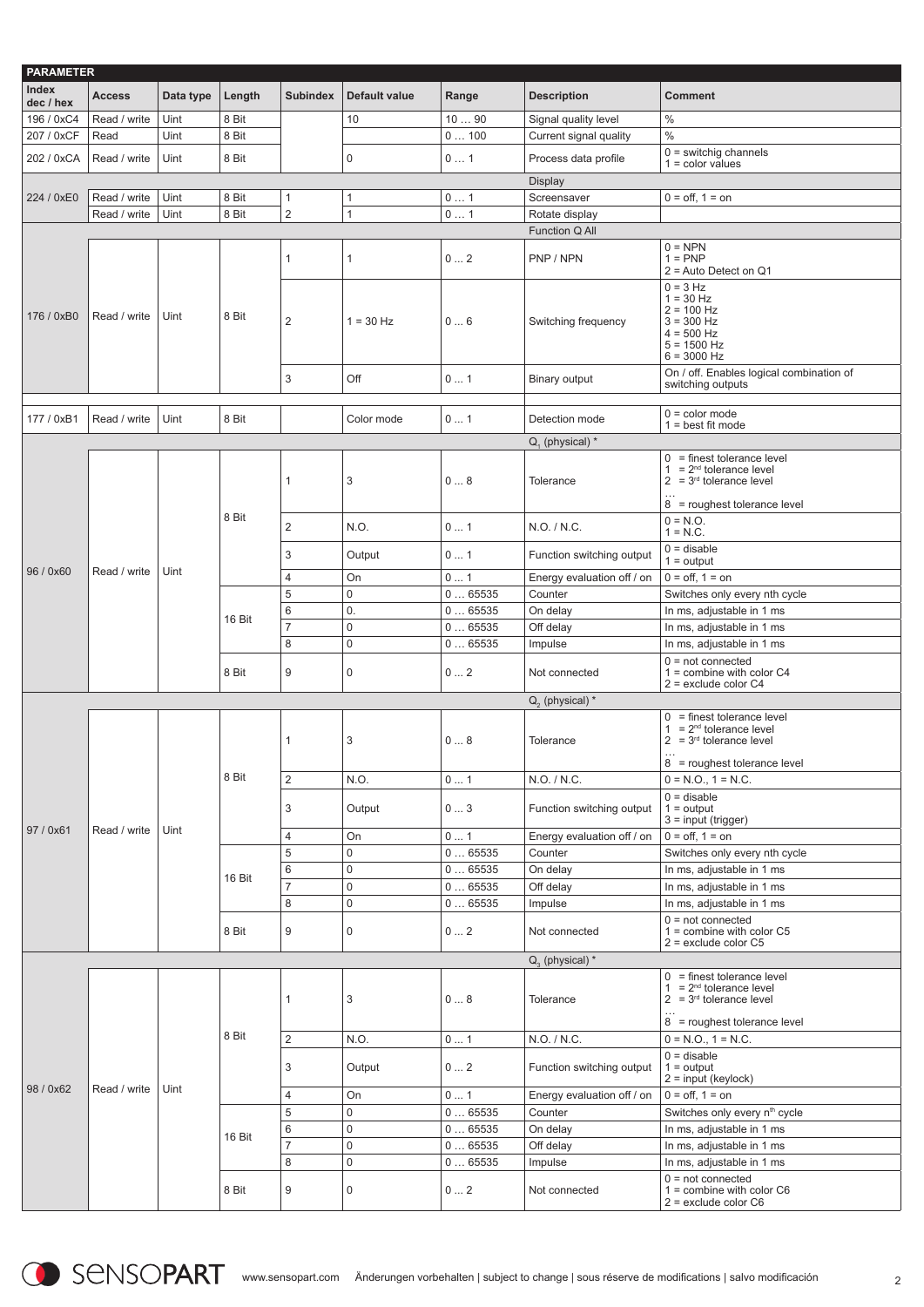| <b>PARAMETER</b>   |               |           |        |                     |               |              |                                       |                                                                                                                             |
|--------------------|---------------|-----------|--------|---------------------|---------------|--------------|---------------------------------------|-----------------------------------------------------------------------------------------------------------------------------|
| Index<br>dec / hex | <b>Access</b> | Data type | Length | <b>Subindex</b>     | Default value | Range        | <b>Description</b>                    | <b>Comment</b>                                                                                                              |
| 196 / 0xC4         | Read / write  | Uint      | 8 Bit  |                     | 10            | 1090         | Signal quality level                  | $\%$                                                                                                                        |
| 207 / 0xCF         | Read          | Uint      | 8 Bit  |                     |               | 0100         | Current signal quality                | $\frac{0}{0}$                                                                                                               |
|                    |               |           |        |                     |               |              |                                       | $0 =$ switchig channels                                                                                                     |
| 202 / 0xCA         | Read / write  | Uint      | 8 Bit  |                     | 0             | 01           | Process data profile                  | $1 = color values$                                                                                                          |
|                    |               |           |        |                     |               |              | <b>Display</b>                        |                                                                                                                             |
| 224 / 0xE0         | Read / write  | Uint      | 8 Bit  | $\mathbf{1}$        | $\mathbf{1}$  | 01           | Screensaver                           | $0 =$ off, $1 =$ on                                                                                                         |
|                    | Read / write  | Uint      | 8 Bit  | $\overline{2}$      | $\mathbf{1}$  | 01           | Rotate display                        |                                                                                                                             |
|                    |               |           |        |                     |               |              | Function Q All                        |                                                                                                                             |
|                    |               |           |        | $\mathbf{1}$        | 1             | 02           | PNP / NPN                             | $0 = NPN$<br>$1 = PNP$<br>$2$ = Auto Detect on Q1                                                                           |
| 176 / 0xB0         | Read / write  | Uint      | 8 Bit  | $\overline{2}$      | $1 = 30$ Hz   | 06           | Switching frequency                   | $0 = 3 Hz$<br>$1 = 30 Hz$<br>$2 = 100$ Hz<br>$3 = 300$ Hz<br>$4 = 500$ Hz<br>$5 = 1500$ Hz<br>$6 = 3000$ Hz                 |
|                    |               |           |        | 3                   | Off           | 01           | Binary output                         | On / off. Enables logical combination of<br>switching outputs                                                               |
| 177 / 0xB1         | Read / write  | Uint      | 8 Bit  |                     | Color mode    | 01           | Detection mode                        | $0 =$ color mode<br>$1 = best fit mode$                                                                                     |
|                    |               |           |        |                     |               |              | $Q_{1}$ (physical) $*$                |                                                                                                                             |
|                    |               |           |        | $\mathbf{1}$        | 3             | 08           | Tolerance                             | $0 =$ finest tolerance level<br>$1 = 2^{nd}$ tolerance level<br>$2 = 3rd$ tolerance level<br>$8 =$ roughest tolerance level |
|                    |               |           | 8 Bit  | $\overline{2}$      | N.O.          | 01           | N.O. / N.C.                           | $0 = N.O.$<br>$1 = N.C.$                                                                                                    |
| 96 / 0x60          | Read / write  | Uint      |        | 3                   | Output        | 01           | Function switching output             | $0 =$ disable<br>$1 =$ output                                                                                               |
|                    |               |           |        | $\overline{4}$      | On            | 01           | Energy evaluation off / on            | $0 =$ off, $1 =$ on                                                                                                         |
|                    |               |           |        | 5                   | 0             | 065535       | Counter                               | Switches only every nth cycle                                                                                               |
|                    |               |           | 16 Bit | 6                   | 0.            | 065535       | On delay                              | In ms, adjustable in 1 ms                                                                                                   |
|                    |               |           |        | $\overline{7}$      | $\mathbf 0$   | 065535       | Off delay                             | In ms, adjustable in 1 ms                                                                                                   |
|                    |               |           |        | 8                   | 0             | 065535       | Impulse                               | In ms, adjustable in 1 ms                                                                                                   |
|                    |               |           | 8 Bit  | 9                   | 0             | 02           | Not connected                         | $0 = not connected$<br>$1 =$ combine with color C4<br>$2$ = exclude color C4                                                |
|                    |               |           |        |                     |               |              | $Q2$ (physical) $*$                   |                                                                                                                             |
|                    |               |           |        | $\mathbf{1}$        | 3             | 08           | Tolerance                             | $0 =$ finest tolerance level<br>$= 2nd$ tolerance level<br>1.<br>$2 = 3rd$ tolerance level                                  |
|                    |               |           | 8 Bit  |                     |               |              |                                       | 8 = roughest tolerance level<br>$0 = N.O., 1 = N.C.$                                                                        |
|                    |               |           |        | 2                   | N.O.          | 01           | N.O. / N.C.                           | $0 =$ disable                                                                                                               |
|                    |               |           |        | 3                   | Output        | 03           | Function switching output             | $1 =$ output<br>$3 = input (trigger)$                                                                                       |
| 97 / 0x61          | Read / write  | Uint      |        | $\overline{4}$      | On            | 01           | Energy evaluation off / on            | $0 =$ off, $1 =$ on                                                                                                         |
|                    |               |           |        | 5                   | 0             | 065535       | Counter                               | Switches only every nth cycle                                                                                               |
|                    |               |           | 16 Bit | $6\phantom{1}6$     | 0             | 065535       | On delay                              | In ms, adjustable in 1 ms                                                                                                   |
|                    |               |           |        | $\overline{7}$      | 0             | 065535       | Off delay                             | In ms, adjustable in 1 ms                                                                                                   |
|                    |               |           |        | 8                   | $\mathbf 0$   | 065535       | Impulse                               | In ms, adjustable in 1 ms                                                                                                   |
|                    |               |           | 8 Bit  | 9                   | 0             | $0 \dots 2$  | Not connected                         | $0 = not connected$<br>$1 =$ combine with color C5<br>$2 =$ exclude color $C5$                                              |
|                    |               |           |        |                     |               |              | $Q_{2}$ (physical) *                  |                                                                                                                             |
|                    |               |           |        | $\mathbf{1}$        | 3             | 08           | Tolerance                             | $0 =$ finest tolerance level<br>$= 2nd$ tolerance level<br>$\mathbf{1}$<br>$2 = 3rd$ tolerance level                        |
|                    |               |           |        |                     |               |              |                                       | 8 = roughest tolerance level                                                                                                |
|                    |               |           | 8 Bit  | $\overline{2}$      | N.O.          | 0 1          | N.O. / N.C.                           | $0 = N.O., 1 = N.C.$                                                                                                        |
|                    |               |           |        | 3                   | Output        | 02           | Function switching output             | $0 =$ disable<br>$1 =$ output                                                                                               |
| 98 / 0x62          | Read / write  | Uint      |        |                     |               |              |                                       | $2 = input (keylock)$<br>$0 =$ off, $1 =$ on                                                                                |
|                    |               |           |        | $\overline{4}$<br>5 | On<br>0       | 01<br>065535 | Energy evaluation off / on<br>Counter | Switches only every n <sup>th</sup> cycle                                                                                   |
|                    |               |           |        | 6                   | 0             | 065535       | On delay                              | In ms, adjustable in 1 ms                                                                                                   |
|                    |               |           | 16 Bit | $\overline{7}$      | 0             | 065535       | Off delay                             | In ms, adjustable in 1 ms                                                                                                   |
|                    |               |           |        | 8                   | $\mathsf 0$   | 065535       | Impulse                               | In ms, adjustable in 1 ms                                                                                                   |
|                    |               |           |        |                     |               |              |                                       | $0 = not connected$                                                                                                         |
|                    |               |           | 8 Bit  | 9                   | 0             | 02           | Not connected                         | $1 =$ combine with color C6<br>$2$ = exclude color $C6$                                                                     |

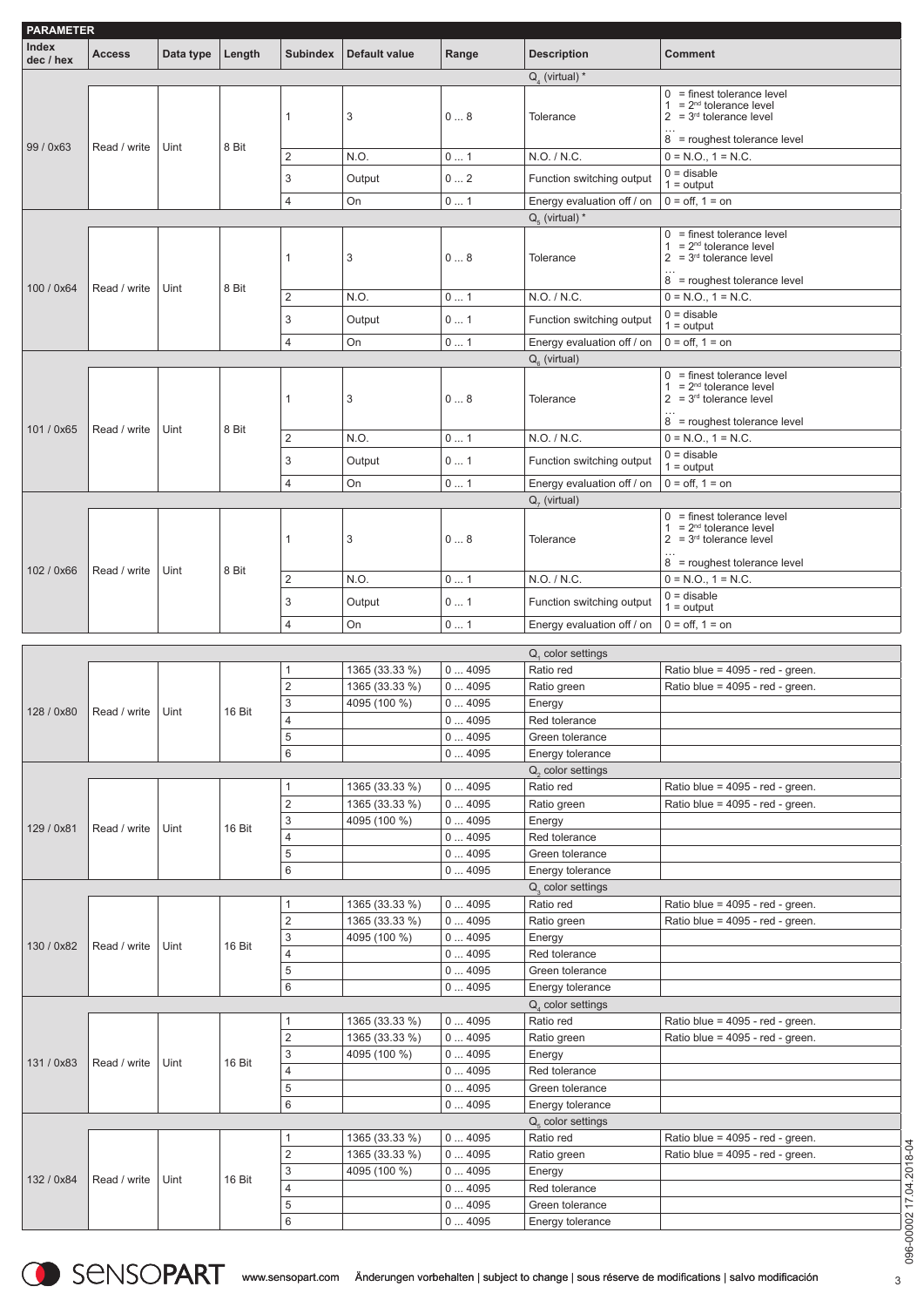| <b>PARAMETER</b><br>Index |                     |           |        |                         |                                |                |                                            |                                                           |
|---------------------------|---------------------|-----------|--------|-------------------------|--------------------------------|----------------|--------------------------------------------|-----------------------------------------------------------|
| dec / hex                 | <b>Access</b>       | Data type | Length | <b>Subindex</b>         | <b>Default value</b>           | Range          | <b>Description</b>                         | <b>Comment</b>                                            |
|                           |                     |           |        |                         |                                |                | $Q_{1}$ (virtual) *                        | $0 =$ finest tolerance level                              |
|                           |                     |           |        | 1                       | 3                              | 08             | Tolerance                                  | $1 = 2^{nd}$ tolerance level<br>$2 = 3rd$ tolerance level |
|                           |                     |           |        |                         |                                |                |                                            |                                                           |
| 99 / 0x63                 | Read / write        | Uint      | 8 Bit  |                         |                                |                |                                            | 8 = roughest tolerance level                              |
|                           |                     |           |        | $\overline{2}$          | N.O.                           | 01             | N.O. / N.C.                                | $0 = N.O., 1 = N.C.$<br>$0 =$ disable                     |
|                           |                     |           |        | 3                       | Output                         | 02             | Function switching output                  | $1 =$ output                                              |
|                           |                     |           |        | 4                       | On                             | 01             | Energy evaluation off / on                 | $0 =$ off, $1 =$ on                                       |
|                           |                     |           |        |                         |                                |                | $Q_{5}$ (virtual) *                        |                                                           |
|                           |                     |           |        |                         |                                |                |                                            | $0 =$ finest tolerance level<br>$1 = 2nd$ tolerance level |
|                           |                     |           |        | 1                       | 3                              | 08             | Tolerance                                  | $2 = 3rd$ tolerance level                                 |
|                           |                     |           |        |                         |                                |                |                                            | $\cdots$<br>8 = roughest tolerance level                  |
| 100 / 0x64                | Read / write        | Uint      | 8 Bit  | $\overline{2}$          | N.O.                           | 01             | N.O. / N.C.                                | $0 = N.O., 1 = N.C.$                                      |
|                           |                     |           |        | 3                       |                                | 01             |                                            | $0 =$ disable                                             |
|                           |                     |           |        |                         | Output                         |                | Function switching output                  | $1 =$ output                                              |
|                           |                     |           |        | $\overline{4}$          | On                             | 01             | Energy evaluation off / on                 | $0 =$ off, $1 =$ on                                       |
|                           |                     |           |        |                         |                                |                | $Q_{\rm s}$ (virtual)                      | $0 =$ finest tolerance level                              |
|                           |                     |           |        |                         |                                |                |                                            | $1 = 2nd$ tolerance level                                 |
|                           |                     |           |        | 1                       | 3                              | 08             | Tolerance                                  | $2 = 3rd$ tolerance level                                 |
| 101 / 0x65                | Read / write        | Uint      | 8 Bit  |                         |                                |                |                                            | 8 = roughest tolerance level                              |
|                           |                     |           |        | $\overline{2}$          | N.O.                           | 01             | N.O. / N.C.                                | $0 = N.O., 1 = N.C.$                                      |
|                           |                     |           |        | 3                       | Output                         | $0 \ldots 1$   | Function switching output                  | $0 =$ disable<br>$1 =$ output                             |
|                           |                     |           |        | 4                       | On                             | 01             | Energy evaluation off / on                 | $0 =$ off, $1 =$ on                                       |
|                           |                     |           |        |                         |                                |                | $Q7$ (virtual)                             |                                                           |
|                           |                     |           |        |                         |                                |                |                                            | $0 =$ finest tolerance level                              |
|                           |                     |           |        | 1                       | 3                              | 08             | Tolerance                                  | $1 = 2^{nd}$ tolerance level<br>$2 = 3rd$ tolerance level |
|                           |                     |           |        |                         |                                |                |                                            |                                                           |
| 102 / 0x66                | Read / write        | Uint      | 8 Bit  |                         |                                |                |                                            | 8 = roughest tolerance level                              |
|                           |                     |           |        | 2                       | N.O.                           | 01             | N.O. / N.C.                                | $0 = N.O., 1 = N.C.$                                      |
|                           |                     |           |        | 3                       | Output                         | 01             | Function switching output                  | $0 =$ disable<br>$1 =$ output                             |
|                           |                     |           |        | 4                       | On                             | $0 \ldots 1$   | Energy evaluation off / on                 | $0 =$ off, $1 =$ on                                       |
|                           |                     |           |        |                         |                                |                |                                            |                                                           |
|                           |                     |           |        |                         |                                |                | $Q1$ color settings                        |                                                           |
|                           |                     |           |        | 1<br>$\sqrt{2}$         | 1365 (33.33 %)                 | 04095<br>04095 | Ratio red                                  | Ratio blue = 4095 - red - green.                          |
|                           |                     |           |        | 3                       | 1365 (33.33 %)<br>4095 (100 %) | 04095          | Ratio green                                | Ratio blue = 4095 - red - green.                          |
| 128 / 0x80                | Read / write   Uint |           | 16 Bit | 4                       |                                | 04095          | Energy<br>Red tolerance                    |                                                           |
|                           |                     |           |        | $\sqrt{5}$              |                                | 04095          | Green tolerance                            |                                                           |
|                           |                     |           |        | 6                       |                                | 04095          | Energy tolerance                           |                                                           |
|                           |                     |           |        |                         |                                |                | $Q2$ color settings                        |                                                           |
|                           |                     |           |        | 1                       | 1365 (33.33 %)                 | 04095          | Ratio red                                  | Ratio blue = 4095 - red - green.                          |
|                           |                     |           |        | $\sqrt{2}$              | 1365 (33.33 %)                 | 04095          | Ratio green                                | Ratio blue = 4095 - red - green.                          |
| 129 / 0x81                | Read / write        | Uint      | 16 Bit | $\sqrt{3}$              | 4095 (100 %)                   | 04095          | Energy                                     |                                                           |
|                           |                     |           |        | 4                       |                                | 04095          | Red tolerance                              |                                                           |
|                           |                     |           |        | $\,$ 5 $\,$             |                                | 04095          | Green tolerance                            |                                                           |
|                           |                     |           |        | 6                       |                                | 04095          | Energy tolerance                           |                                                           |
|                           |                     |           |        | 1                       | 1365 (33.33 %)                 | 04095          | Q <sub>2</sub> color settings<br>Ratio red | Ratio blue = 4095 - red - green.                          |
|                           |                     |           |        | $\overline{\mathbf{c}}$ | 1365 (33.33 %)                 | 04095          | Ratio green                                | Ratio blue = 4095 - red - green.                          |
|                           |                     |           |        | $\sqrt{3}$              | 4095 (100 %)                   | 04095          | Energy                                     |                                                           |
| 130 / 0x82                | Read / write        | Uint      | 16 Bit | 4                       |                                | 04095          | Red tolerance                              |                                                           |
|                           |                     |           |        | $\sqrt{5}$              |                                | 04095          | Green tolerance                            |                                                           |
|                           |                     |           |        | 6                       |                                | 04095          | Energy tolerance                           |                                                           |
|                           |                     |           |        |                         |                                |                | $Qa$ color settings                        |                                                           |
|                           |                     |           |        | 1                       | 1365 (33.33 %)                 | 04095          | Ratio red                                  | Ratio blue = 4095 - red - green.                          |
|                           |                     |           |        | $\sqrt{2}$              | 1365 (33.33 %)                 | 04095          | Ratio green                                | Ratio blue = 4095 - red - green.                          |
| 131 / 0x83                | Read / write        | Uint      | 16 Bit | 3                       | 4095 (100 %)                   | 04095          | Energy                                     |                                                           |
|                           |                     |           |        | 4                       |                                | 04095          | Red tolerance                              |                                                           |
|                           |                     |           |        | $\,$ 5 $\,$             |                                | 04095          | Green tolerance                            |                                                           |
|                           |                     |           |        | 6                       |                                | 04095          | Energy tolerance                           |                                                           |
|                           |                     |           |        | 1                       | 1365 (33.33 %)                 | 04095          | $Q5$ color settings<br>Ratio red           | Ratio blue = 4095 - red - green.                          |
|                           |                     |           |        | $\sqrt{2}$              | 1365 (33.33 %)                 | 04095          | Ratio green                                | Ratio blue = 4095 - red - green.                          |
|                           |                     |           |        | 3                       | 4095 (100 %)                   | 04095          | Energy                                     |                                                           |
|                           |                     |           |        |                         |                                |                |                                            |                                                           |
| 132 / 0x84                | Read / write        | Uint      | 16 Bit |                         |                                |                |                                            |                                                           |
|                           |                     |           |        | 4<br>5                  |                                | 04095<br>04095 | Red tolerance<br>Green tolerance           |                                                           |
|                           |                     |           |        | 6                       |                                | 04095          | Energy tolerance                           |                                                           |